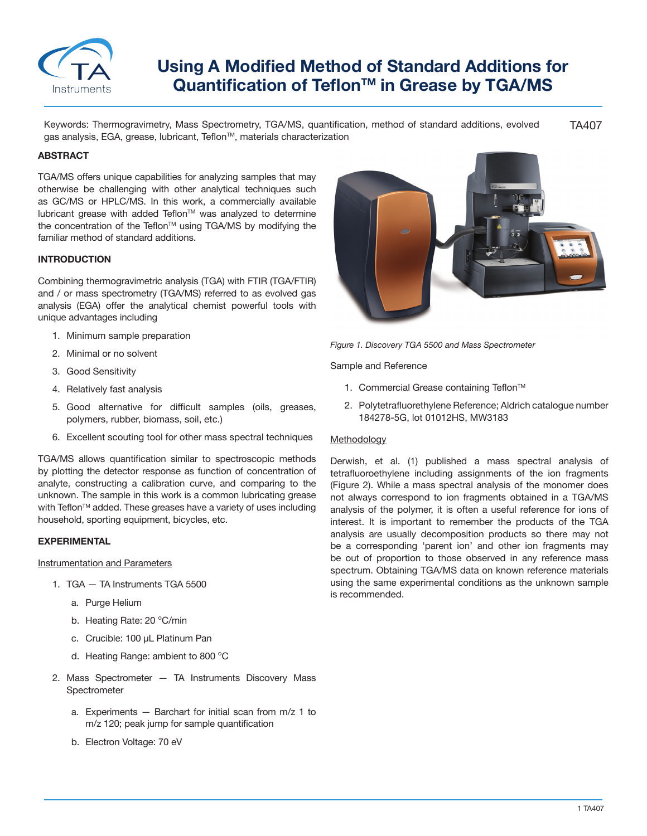

# **Using A Modified Method of Standard Additions for**  Quantification of Teflon<sup>™</sup> in Grease by TGA/MS

TA407 Keywords: Thermogravimetry, Mass Spectrometry, TGA/MS, quantification, method of standard additions, evolved gas analysis, EGA, grease, lubricant, Teflon™, materials characterization

# **ABSTRACT**

TGA/MS offers unique capabilities for analyzing samples that may otherwise be challenging with other analytical techniques such as GC/MS or HPLC/MS. In this work, a commercially available lubricant grease with added Teflon™ was analyzed to determine the concentration of the Teflon™ using TGA/MS by modifying the familiar method of standard additions.

#### **INTRODUCTION**

Combining thermogravimetric analysis (TGA) with FTIR (TGA/FTIR) and / or mass spectrometry (TGA/MS) referred to as evolved gas analysis (EGA) offer the analytical chemist powerful tools with unique advantages including

- 1. Minimum sample preparation
- 2. Minimal or no solvent
- 3. Good Sensitivity
- 4. Relatively fast analysis
- 5. Good alternative for difficult samples (oils, greases, polymers, rubber, biomass, soil, etc.)
- 6. Excellent scouting tool for other mass spectral techniques

TGA/MS allows quantification similar to spectroscopic methods by plotting the detector response as function of concentration of analyte, constructing a calibration curve, and comparing to the unknown. The sample in this work is a common lubricating grease with Teflon™ added. These greases have a variety of uses including household, sporting equipment, bicycles, etc.

## **EXPERIMENTAL**

# Instrumentation and Parameters

- 1. TGA TA Instruments TGA 5500
	- a. Purge Helium
	- b. Heating Rate: 20 °C/min
	- c. Crucible: 100 μL Platinum Pan
	- d. Heating Range: ambient to 800  $^{\circ}$ C
- 2. Mass Spectrometer TA Instruments Discovery Mass Spectrometer
	- a. Experiments Barchart for initial scan from m/z 1 to m/z 120; peak jump for sample quantification
	- b. Electron Voltage: 70 eV



*Figure 1. Discovery TGA 5500 and Mass Spectrometer*

Sample and Reference

- 1. Commercial Grease containing Teflon™
- 2. Polytetrafluorethylene Reference; Aldrich catalogue number 184278-5G, lot 01012HS, MW3183

#### Methodology

Derwish, et al. (1) published a mass spectral analysis of tetrafluoroethylene including assignments of the ion fragments (Figure 2). While a mass spectral analysis of the monomer does not always correspond to ion fragments obtained in a TGA/MS analysis of the polymer, it is often a useful reference for ions of interest. It is important to remember the products of the TGA analysis are usually decomposition products so there may not be a corresponding 'parent ion' and other ion fragments may be out of proportion to those observed in any reference mass spectrum. Obtaining TGA/MS data on known reference materials using the same experimental conditions as the unknown sample is recommended.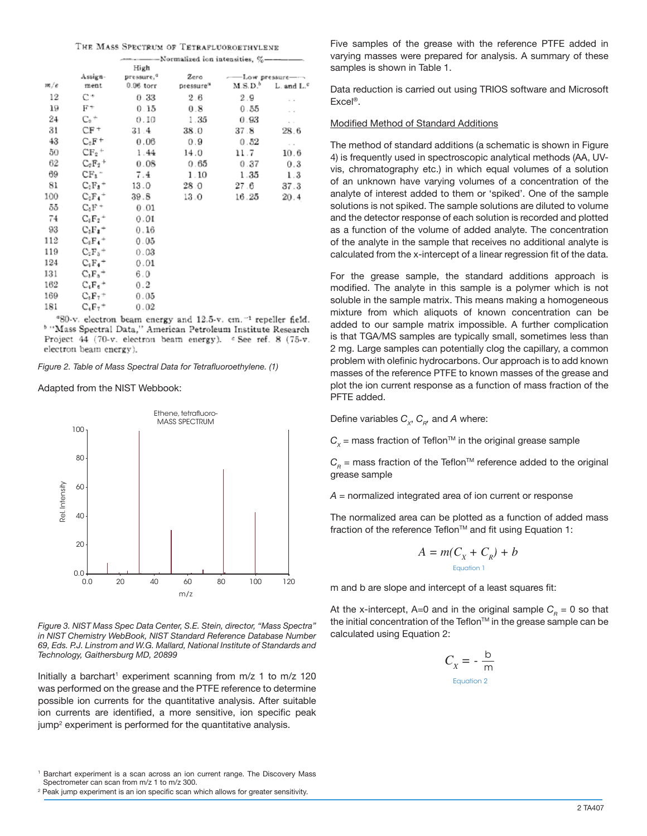| THE MASS SPECTRUM OF TETRAFLUOROETHYLENE |  |
|------------------------------------------|--|
|------------------------------------------|--|

|     |                       | High                   |                       |                 |                     |  |
|-----|-----------------------|------------------------|-----------------------|-----------------|---------------------|--|
|     | Assign-               | pressure. <sup>a</sup> | Zero                  | - Low pressure- |                     |  |
| m/e | ment                  | $0.06$ torr            | pressure <sup>a</sup> | $M.S.D.^b$      | $L$ . and $Lc$      |  |
| 12  | C+                    | 0.33                   | 2.6                   | 2.9             |                     |  |
| 19  | $_{\rm F^{+}}$        | 0.15                   | 0.8                   | 0.55            | ×.                  |  |
| 24  | $C_2$ <sup>+</sup>    | 0.10                   | 1.35                  | 0.93            | $\sim$              |  |
| 31  | CF+                   | 31.4                   | 38.0                  | 37.8            | 28.6                |  |
| 43  | $C_1F^+$              | 0.06                   | 0.9                   | 0.52            | $\sim$ 10 $^{-1}$   |  |
| 50  | $CF2$ <sup>+</sup>    | 1.44                   | 14.0                  | 11.7            | 10.6                |  |
| 62  | $C_2F_2$ <sup>+</sup> | 0.08                   | 0.65                  | 0.37            | 0.3                 |  |
| 69  | $CF_1^-$              | 7.4                    | 1.10                  | 1.35            | 1.3                 |  |
| 81  | $C_2F_2$ <sup>+</sup> | 13.0                   | 28.0                  | 27.6            | 37.3                |  |
| 100 | $C_2F_4$ <sup>+</sup> | 39.8                   | 13.0                  | 16.25           | 20.4                |  |
| 55  | $C_3F +$              | 0.01                   |                       |                 |                     |  |
| 74  | $C_2F_2$ <sup>+</sup> | 0.01                   |                       |                 |                     |  |
| 93  | $C_3F_2$ <sup>+</sup> | 0.16                   |                       |                 |                     |  |
| 112 | $C_2F_4$ <sup>+</sup> | 0.05                   |                       |                 |                     |  |
| 119 | $C_2F_5$ <sup>+</sup> | 0.03                   |                       |                 |                     |  |
| 124 | $C_4F_4$ <sup>+</sup> | 0.01                   |                       |                 |                     |  |
| 131 | $C_3F_5^+$            | 6.0                    |                       |                 |                     |  |
| 162 | $C_4F_6$ <sup>+</sup> | 0.2                    |                       |                 |                     |  |
| 169 | $C_2F_7$ <sup>+</sup> | 0.05                   |                       |                 |                     |  |
| 181 | $C_4F_7$ <sup>+</sup> | 0.02                   |                       |                 |                     |  |
|     |                       | $400 - 1$ $1 - 1$      | $-1$ $-1$ $-1$        |                 | $-1$ $-1$ $-1$ $-1$ |  |

80-v. electron beam energy and 12.5-v. cm.<sup>-1</sup> repeller field. <sup>b</sup> "Mass Spectral Data," American Petroleum Institute Research Project 44 (70-v. electron beam energy).  $\epsilon$  See ref. 8 (75-v. electron beam energy).

*Figure 2. Table of Mass Spectral Data for Tetrafluoroethylene. (1)*

Adapted from the NIST Webbook:



*Figure 3. NIST Mass Spec Data Center, S.E. Stein, director, "Mass Spectra" in NIST Chemistry WebBook, NIST Standard Reference Database Number 69, Eds. P.J. Linstrom and W.G. Mallard, National Institute of Standards and Technology, Gaithersburg MD, 20899*

Initially a barchart<sup>1</sup> experiment scanning from m/z 1 to m/z 120 was performed on the grease and the PTFE reference to determine possible ion currents for the quantitative analysis. After suitable ion currents are identified, a more sensitive, ion specific peak jump $^\mathrm{2}$  experiment is performed for the quantitative analysis.

1 Barchart experiment is a scan across an ion current range. The Discovery Mass Spectrometer can scan from m/z 1 to m/z 300.

 $^{\rm 2}$  Peak jump experiment is an ion specific scan which allows for greater sensitivity.

Five samples of the grease with the reference PTFE added in varying masses were prepared for analysis. A summary of these samples is shown in Table 1.

Data reduction is carried out using TRIOS software and Microsoft Excel®.

# Modified Method of Standard Additions

The method of standard additions (a schematic is shown in Figure 4) is frequently used in spectroscopic analytical methods (AA, UVvis, chromatography etc.) in which equal volumes of a solution of an unknown have varying volumes of a concentration of the analyte of interest added to them or 'spiked'. One of the sample solutions is not spiked. The sample solutions are diluted to volume and the detector response of each solution is recorded and plotted as a function of the volume of added analyte. The concentration of the analyte in the sample that receives no additional analyte is calculated from the x-intercept of a linear regression fit of the data.

For the grease sample, the standard additions approach is modified. The analyte in this sample is a polymer which is not soluble in the sample matrix. This means making a homogeneous mixture from which aliquots of known concentration can be added to our sample matrix impossible. A further complication is that TGA/MS samples are typically small, sometimes less than 2 mg. Large samples can potentially clog the capillary, a common problem with olefinic hydrocarbons. Our approach is to add known masses of the reference PTFE to known masses of the grease and plot the ion current response as a function of mass fraction of the PFTE added.

Define variables  $C_{\gamma}$ ,  $C_{\alpha}$ , and A where:

 $C_x$  = mass fraction of Teflon<sup>TM</sup> in the original grease sample

 $C<sub>p</sub>$  = mass fraction of the Teflon<sup>TM</sup> reference added to the original grease sample

*A* = normalized integrated area of ion current or response

The normalized area can be plotted as a function of added mass fraction of the reference Teflon™ and fit using Equation 1:

$$
A = m(C_X + C_R) + b
$$
<sup>Equation 1</sup>

m and b are slope and intercept of a least squares fit:

At the x-intercept, A=0 and in the original sample  $C_R = 0$  so that the initial concentration of the Teflon™ in the grease sample can be calculated using Equation 2:

$$
C_{X} = -\frac{b}{m}
$$
  
Equation 2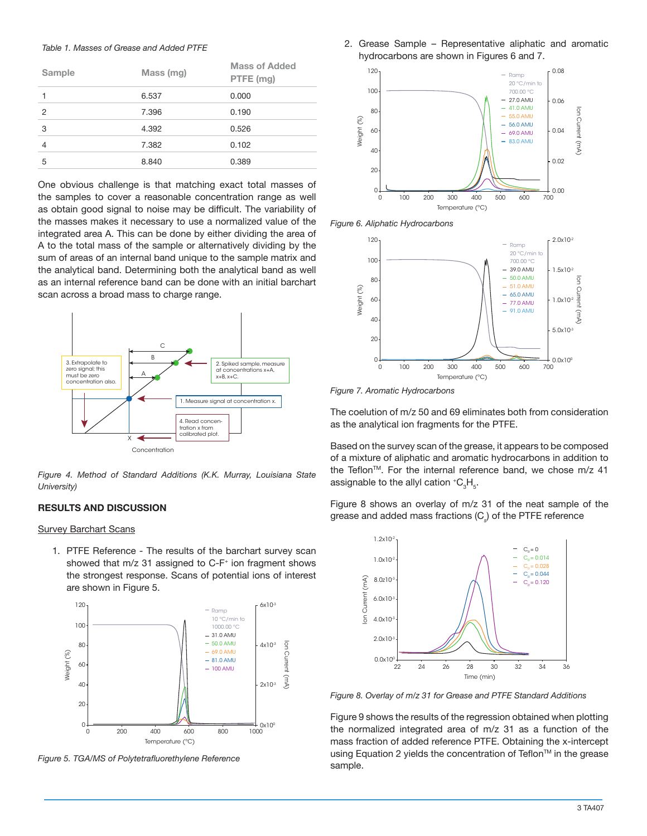#### *Table 1. Masses of Grease and Added PTFE*

| Sample         | Mass (mg) | <b>Mass of Added</b><br>PTFE (mg) |
|----------------|-----------|-----------------------------------|
|                | 6.537     | 0.000                             |
| $\overline{2}$ | 7.396     | 0.190                             |
| 3              | 4.392     | 0.526                             |
| 4              | 7.382     | 0.102                             |
| 5              | 8.840     | 0.389                             |

One obvious challenge is that matching exact total masses of the samples to cover a reasonable concentration range as well as obtain good signal to noise may be difficult. The variability of the masses makes it necessary to use a normalized value of the integrated area A. This can be done by either dividing the area of A to the total mass of the sample or alternatively dividing by the sum of areas of an internal band unique to the sample matrix and the analytical band. Determining both the analytical band as well as an internal reference band can be done with an initial barchart scan across a broad mass to charge range.



*Figure 4. Method of Standard Additions (K.K. Murray, Louisiana State University)*

#### **RESULTS AND DISCUSSION**

#### Survey Barchart Scans

1. PTFE Reference - The results of the barchart survey scan showed that  $m/z$  31 assigned to  $C$ -F<sup>+</sup> ion fragment shows the strongest response. Scans of potential ions of interest are shown in Figure 5.



*Figure 5. TGA/MS of Polytetrafluorethylene Reference*

2. Grease Sample – Representative aliphatic and aromatic hydrocarbons are shown in Figures 6 and 7.



*Figure 6. Aliphatic Hydrocarbons*



*Figure 7. Aromatic Hydrocarbons*

The coelution of m/z 50 and 69 eliminates both from consideration as the analytical ion fragments for the PTFE.

Based on the survey scan of the grease, it appears to be composed of a mixture of aliphatic and aromatic hydrocarbons in addition to the Teflon<sup>™</sup>. For the internal reference band, we chose m/z 41 assignable to the allyl cation  ${ }^{\ast} \text{C}_3 \text{H}_5.$ 

Figure 8 shows an overlay of m/z 31 of the neat sample of the grease and added mass fractions (C*<sup>s</sup>* ) of the PTFE reference



*Figure 8. Overlay of m/z 31 for Grease and PTFE Standard Additions*

Figure 9 shows the results of the regression obtained when plotting the normalized integrated area of m/z 31 as a function of the mass fraction of added reference PTFE. Obtaining the x-intercept using Equation 2 yields the concentration of Teflon™ in the grease sample.